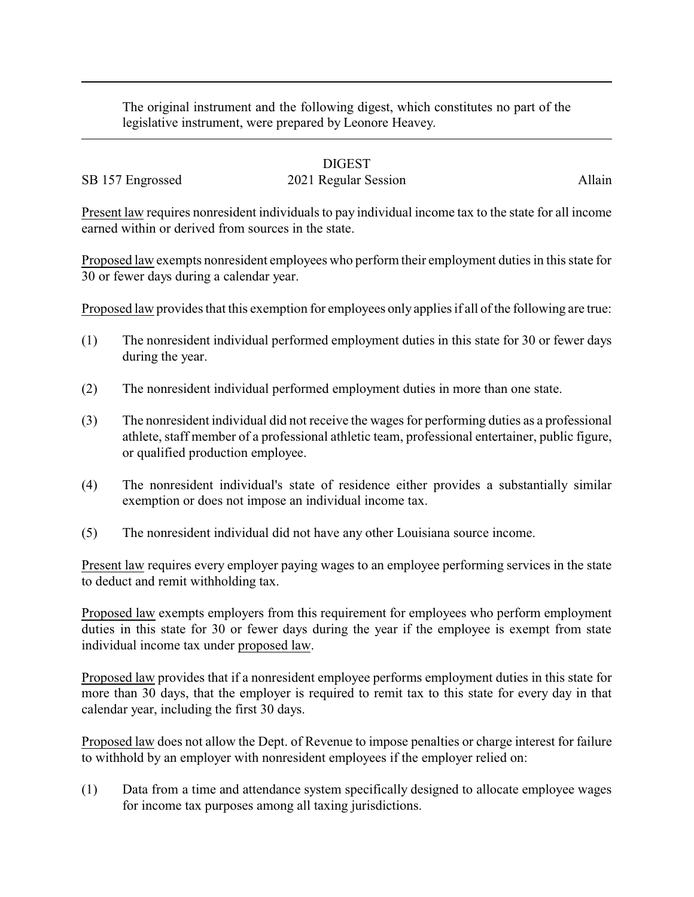The original instrument and the following digest, which constitutes no part of the legislative instrument, were prepared by Leonore Heavey.

## DIGEST

## SB 157 Engrossed 2021 Regular Session Allain

Present law requires nonresident individuals to pay individual income tax to the state for all income earned within or derived from sources in the state.

Proposed law exempts nonresident employees who perform their employment duties in this state for 30 or fewer days during a calendar year.

Proposed law provides that this exemption for employees only applies if all of the following are true:

- (1) The nonresident individual performed employment duties in this state for 30 or fewer days during the year.
- (2) The nonresident individual performed employment duties in more than one state.
- (3) The nonresident individual did not receive the wages for performing duties as a professional athlete, staff member of a professional athletic team, professional entertainer, public figure, or qualified production employee.
- (4) The nonresident individual's state of residence either provides a substantially similar exemption or does not impose an individual income tax.
- (5) The nonresident individual did not have any other Louisiana source income.

Present law requires every employer paying wages to an employee performing services in the state to deduct and remit withholding tax.

Proposed law exempts employers from this requirement for employees who perform employment duties in this state for 30 or fewer days during the year if the employee is exempt from state individual income tax under proposed law.

Proposed law provides that if a nonresident employee performs employment duties in this state for more than 30 days, that the employer is required to remit tax to this state for every day in that calendar year, including the first 30 days.

Proposed law does not allow the Dept. of Revenue to impose penalties or charge interest for failure to withhold by an employer with nonresident employees if the employer relied on:

(1) Data from a time and attendance system specifically designed to allocate employee wages for income tax purposes among all taxing jurisdictions.